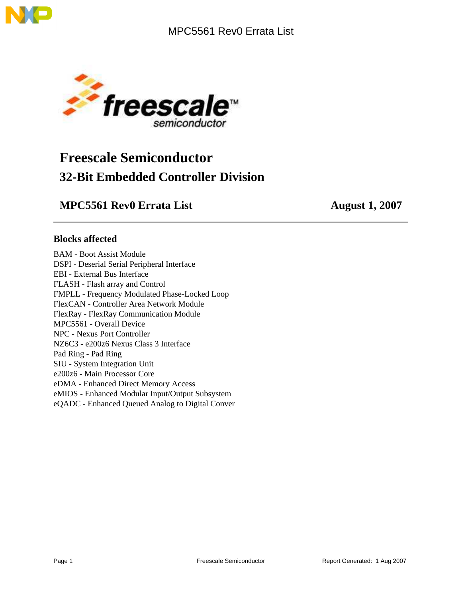



# **Freescale Semiconductor 32-Bit Embedded Controller Division**

### **MPC5561 Rev0 Errata List** August 1, 2007

### **Blocks affected**

BAM - Boot Assist Module DSPI - Deserial Serial Peripheral Interface EBI - External Bus Interface FLASH - Flash array and Control FMPLL - Frequency Modulated Phase-Locked Loop FlexCAN - Controller Area Network Module FlexRay - FlexRay Communication Module MPC5561 - Overall Device NPC - Nexus Port Controller NZ6C3 - e200z6 Nexus Class 3 Interface Pad Ring - Pad Ring SIU - System Integration Unit e200z6 - Main Processor Core eDMA - Enhanced Direct Memory Access eMIOS - Enhanced Modular Input/Output Subsystem eQADC - Enhanced Queued Analog to Digital Conver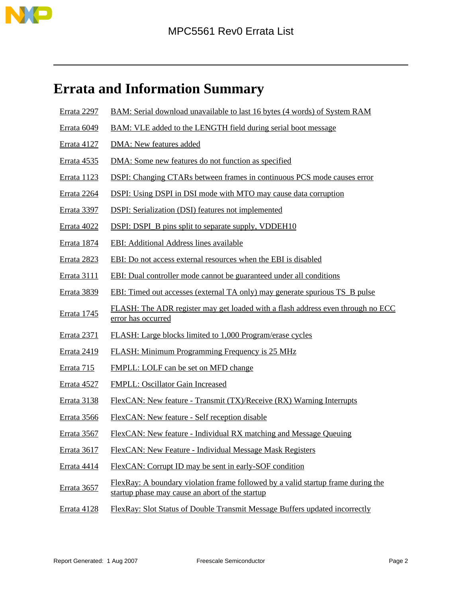

# <span id="page-1-0"></span>**Errata and Information Summary**

- [Errata 2297](#page-4-0) [BAM: Serial download unavailable to last 16 bytes \(4 words\) of System RAM](#page-4-0)
- [Errata 6049](#page-4-1) [BAM: VLE added to the LENGTH field during serial boot message](#page-4-1)
- [Errata 4127](#page-5-0) [DMA: New features added](#page-5-0)
- [Errata 4535](#page-6-0) [DMA: Some new features do not function as specified](#page-6-0)
- [Errata 1123](#page-6-1) [DSPI: Changing CTARs between frames in continuous PCS mode causes error](#page-6-1)
- [Errata 2264](#page-7-0) [DSPI: Using DSPI in DSI mode with MTO may cause data corruption](#page-7-0)
- [Errata 3397](#page-8-0) [DSPI: Serialization \(DSI\) features not implemented](#page-8-0)
- [Errata 4022](#page-8-1) [DSPI: DSPI\\_B pins split to separate supply, VDDEH10](#page-8-1)
- [Errata 1874](#page-9-0) [EBI: Additional Address lines available](#page-9-0)
- [Errata 2823](#page-9-1) [EBI: Do not access external resources when the EBI is disabled](#page-9-1)
- [Errata 3111](#page-10-0) [EBI: Dual controller mode cannot be guaranteed under all conditions](#page-10-0)
- [Errata 3839](#page-10-1) [EBI: Timed out accesses \(external TA only\) may generate spurious TS\\_B pulse](#page-10-1)
- [Errata 1745](#page-11-0) [FLASH: The ADR register may get loaded with a flash address even through no ECC](#page-11-0) [error has occurred](#page-11-0)
- [Errata 2371](#page-12-0) [FLASH: Large blocks limited to 1,000 Program/erase cycles](#page-12-0)
- [Errata 2419](#page-12-1) [FLASH: Minimum Programming Frequency is 25 MHz](#page-12-1)
- [Errata 715](#page-13-0) [FMPLL: LOLF can be set on MFD change](#page-13-0)
- [Errata 4527](#page-13-1) [FMPLL: Oscillator Gain Increased](#page-13-1)
- [Errata 3138](#page-14-0) [FlexCAN: New feature Transmit \(TX\)/Receive \(RX\) Warning Interrupts](#page-14-0)
- [Errata 3566](#page-14-1) [FlexCAN: New feature Self reception disable](#page-14-1)
- [Errata 3567](#page-15-0) [FlexCAN: New feature Individual RX matching and Message Queuing](#page-15-0)
- [Errata 3617](#page-15-1) [FlexCAN: New Feature Individual Message Mask Registers](#page-15-1)
- [Errata 4414](#page-16-0) [FlexCAN: Corrupt ID may be sent in early-SOF condition](#page-16-0)
- [Errata 3657](#page-17-0) [FlexRay: A boundary violation frame followed by a valid startup frame during the](#page-17-0) [startup phase may cause an abort of the startup](#page-17-0)
- [Errata 4128](#page-17-1) [FlexRay: Slot Status of Double Transmit Message Buffers updated incorrectly](#page-17-1)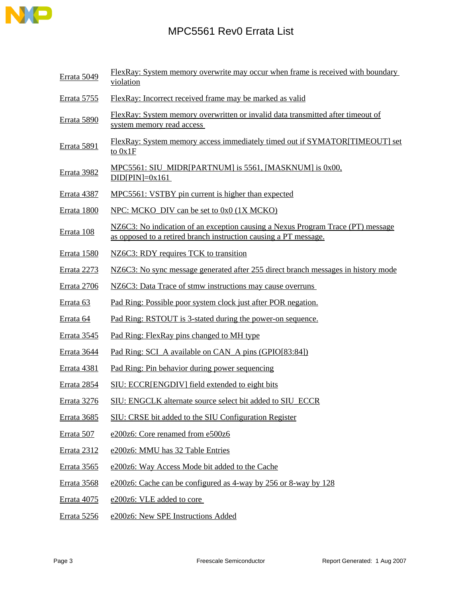

[Errata 5049](#page-18-0) FlexRay: System memory overwrite may occur when frame is received with boundary [violation](#page-18-0) [Errata 5755](#page-19-0) [FlexRay: Incorrect received frame may be marked as valid](#page-19-0) [Errata 5890](#page-20-0) [FlexRay: System memory overwritten or invalid data transmitted after timeout of](#page-20-0) [system memory read access](#page-20-0)  [Errata 5891](#page-21-0) [FlexRay: System memory access immediately timed out if SYMATOR\[TIMEOUT\] set](#page-21-0) [to 0x1F](#page-21-0) [Errata 3982](#page-22-0) [MPC5561: SIU\\_MIDR\[PARTNUM\] is 5561, \[MASKNUM\] is 0x00,](#page-22-0)  $DID[PIN]=0x161$ [Errata 4387](#page-22-1) [MPC5561: VSTBY pin current is higher than expected](#page-22-1) [Errata 1800](#page-22-2) NPC: MCKO DIV can be set to  $0x0$  (1X MCKO) [Errata 108](#page-23-0) [NZ6C3: No indication of an exception causing a Nexus Program Trace \(PT\) message](#page-23-0) [as opposed to a retired branch instruction causing a PT message.](#page-23-0) [Errata 1580](#page-24-0) [NZ6C3: RDY requires TCK to transition](#page-24-0) [Errata 2273](#page-24-1) [NZ6C3: No sync message generated after 255 direct branch messages in history mode](#page-24-1) [Errata 2706](#page-25-0) NZ6C3: Data Trace of stmw instructions may cause overruns [Errata 63](#page-25-1) [Pad Ring: Possible poor system clock just after POR negation.](#page-25-1) [Errata 64](#page-26-0) [Pad Ring: RSTOUT is 3-stated during the power-on sequence.](#page-26-0) [Errata 3545](#page-26-1) [Pad Ring: FlexRay pins changed to MH type](#page-26-1) [Errata 3644](#page-27-0) [Pad Ring: SCI\\_A available on CAN\\_A pins \(GPIO\[83:84\]\)](#page-27-0) [Errata 4381](#page-27-1) [Pad Ring: Pin behavior during power sequencing](#page-27-1) [Errata 2854](#page-28-0) [SIU: ECCR\[ENGDIV\] field extended to eight bits](#page-28-0) [Errata 3276](#page-28-1) [SIU: ENGCLK alternate source select bit added to SIU\\_ECCR](#page-28-1) [Errata 3685](#page-29-0) [SIU: CRSE bit added to the SIU Configuration Register](#page-29-0) [Errata 507](#page-29-1) [e200z6: Core renamed from e500z6](#page-29-1) [Errata 2312](#page-30-0) [e200z6: MMU has 32 Table Entries](#page-30-0) [Errata 3565](#page-30-1) [e200z6: Way Access Mode bit added to the Cache](#page-30-1) [Errata 3568](#page-31-0) [e200z6: Cache can be configured as 4-way by 256 or 8-way by 128](#page-31-0) [Errata 4075](#page-31-1) [e200z6: VLE added to core](#page-31-1)  [Errata 5256](#page-32-0) [e200z6: New SPE Instructions Added](#page-32-0)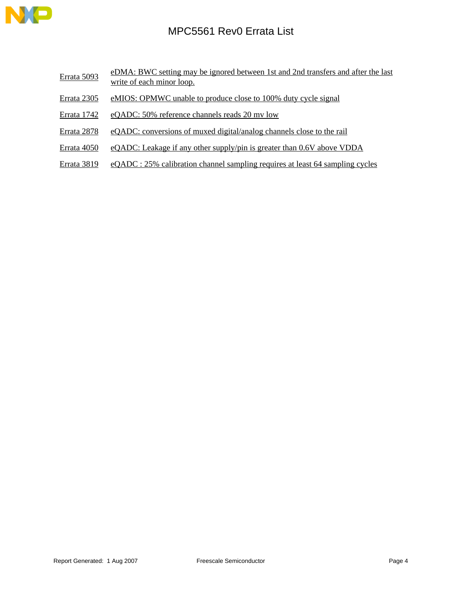

- [Errata 5093](#page-33-0) [eDMA: BWC setting may be ignored between 1st and 2nd transfers and after the last](#page-33-0) [write of each minor loop.](#page-33-0)
- [Errata 2305](#page-33-1) [eMIOS: OPMWC unable to produce close to 100% duty cycle signal](#page-33-1)
- [Errata 1742](#page-34-0) [eQADC: 50% reference channels reads 20 mv low](#page-34-0)
- [Errata 2878](#page-34-1) [eQADC: conversions of muxed digital/analog channels close to the rail](#page-34-1)
- [Errata 4050](#page-35-0) [eQADC: Leakage if any other supply/pin is greater than 0.6V above VDDA](#page-35-0)
- [Errata 3819](#page-35-1) [eQADC : 25% calibration channel sampling requires at least 64 sampling cycles](#page-35-1)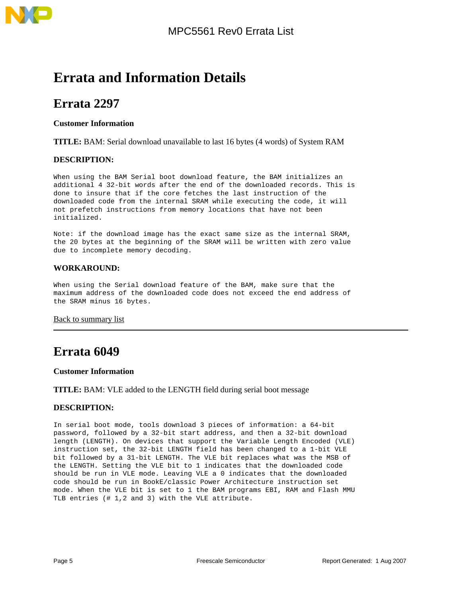# **Errata and Information Details**

## <span id="page-4-0"></span>**Errata 2297**

### **Customer Information**

**TITLE:** BAM: Serial download unavailable to last 16 bytes (4 words) of System RAM

### **DESCRIPTION:**

When using the BAM Serial boot download feature, the BAM initializes an additional 4 32-bit words after the end of the downloaded records. This is done to insure that if the core fetches the last instruction of the downloaded code from the internal SRAM while executing the code, it will not prefetch instructions from memory locations that have not been initialized.

Note: if the download image has the exact same size as the internal SRAM, the 20 bytes at the beginning of the SRAM will be written with zero value due to incomplete memory decoding.

### **WORKAROUND:**

When using the Serial download feature of the BAM, make sure that the maximum address of the downloaded code does not exceed the end address of the SRAM minus 16 bytes.

### [Back to summary list](#page-1-0)

## <span id="page-4-1"></span>**Errata 6049**

### **Customer Information**

**TITLE:** BAM: VLE added to the LENGTH field during serial boot message

### **DESCRIPTION:**

In serial boot mode, tools download 3 pieces of information: a 64-bit password, followed by a 32-bit start address, and then a 32-bit download length (LENGTH). On devices that support the Variable Length Encoded (VLE) instruction set, the 32-bit LENGTH field has been changed to a 1-bit VLE bit followed by a 31-bit LENGTH. The VLE bit replaces what was the MSB of the LENGTH. Setting the VLE bit to 1 indicates that the downloaded code should be run in VLE mode. Leaving VLE a 0 indicates that the downloaded code should be run in BookE/classic Power Architecture instruction set mode. When the VLE bit is set to 1 the BAM programs EBI, RAM and Flash MMU TLB entries (# 1,2 and 3) with the VLE attribute.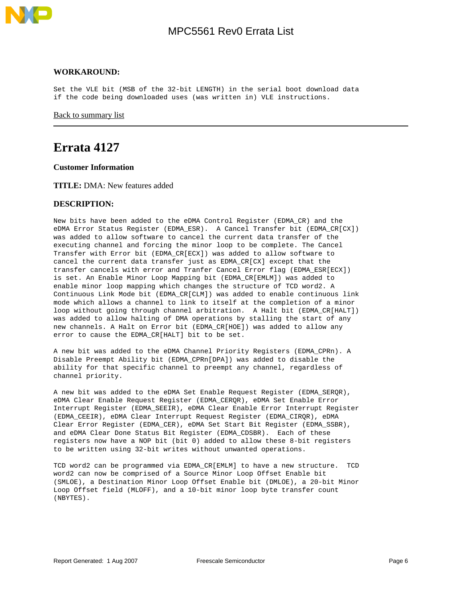

### **WORKAROUND:**

Set the VLE bit (MSB of the 32-bit LENGTH) in the serial boot download data if the code being downloaded uses (was written in) VLE instructions.

[Back to summary list](#page-1-0)

## <span id="page-5-0"></span>**Errata 4127**

**Customer Information**

**TITLE:** DMA: New features added

### **DESCRIPTION:**

New bits have been added to the eDMA Control Register (EDMA\_CR) and the eDMA Error Status Register (EDMA\_ESR). A Cancel Transfer bit (EDMA\_CR[CX]) was added to allow software to cancel the current data transfer of the executing channel and forcing the minor loop to be complete. The Cancel Transfer with Error bit (EDMA\_CR[ECX]) was added to allow software to cancel the current data transfer just as EDMA\_CR[CX] except that the transfer cancels with error and Tranfer Cancel Error flag (EDMA\_ESR[ECX]) is set. An Enable Minor Loop Mapping bit (EDMA\_CR[EMLM]) was added to enable minor loop mapping which changes the structure of TCD word2. A Continuous Link Mode bit (EDMA\_CR[CLM]) was added to enable continuous link mode which allows a channel to link to itself at the completion of a minor loop without going through channel arbitration. A Halt bit (EDMA\_CR[HALT]) was added to allow halting of DMA operations by stalling the start of any new channels. A Halt on Error bit (EDMA\_CR[HOE]) was added to allow any error to cause the EDMA CR[HALT] bit to be set.

A new bit was added to the eDMA Channel Priority Registers (EDMA\_CPRn). A Disable Preempt Ability bit (EDMA\_CPRn[DPA]) was added to disable the ability for that specific channel to preempt any channel, regardless of channel priority.

A new bit was added to the eDMA Set Enable Request Register (EDMA\_SERQR), eDMA Clear Enable Request Register (EDMA\_CERQR), eDMA Set Enable Error Interrupt Register (EDMA\_SEEIR), eDMA Clear Enable Error Interrupt Register (EDMA\_CEEIR), eDMA Clear Interrupt Request Register (EDMA\_CIRQR), eDMA Clear Error Register (EDMA\_CER), eDMA Set Start Bit Register (EDMA\_SSBR), and eDMA Clear Done Status Bit Register (EDMA\_CDSBR). Each of these registers now have a NOP bit (bit 0) added to allow these 8-bit registers to be written using 32-bit writes without unwanted operations.

TCD word2 can be programmed via EDMA\_CR[EMLM] to have a new structure. TCD word2 can now be comprised of a Source Minor Loop Offset Enable bit (SMLOE), a Destination Minor Loop Offset Enable bit (DMLOE), a 20-bit Minor Loop Offset field (MLOFF), and a 10-bit minor loop byte transfer count (NBYTES).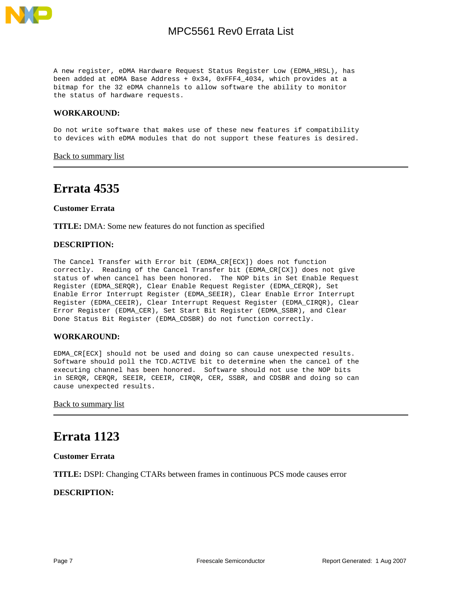

A new register, eDMA Hardware Request Status Register Low (EDMA\_HRSL), has been added at eDMA Base Address + 0x34, 0xFFF4\_4034, which provides at a bitmap for the 32 eDMA channels to allow software the ability to monitor the status of hardware requests.

### **WORKAROUND:**

Do not write software that makes use of these new features if compatibility to devices with eDMA modules that do not support these features is desired.

[Back to summary list](#page-1-0)

### <span id="page-6-0"></span>**Errata 4535**

### **Customer Errata**

**TITLE:** DMA: Some new features do not function as specified

### **DESCRIPTION:**

The Cancel Transfer with Error bit (EDMA\_CR[ECX]) does not function correctly. Reading of the Cancel Transfer bit (EDMA\_CR[CX]) does not give status of when cancel has been honored. The NOP bits in Set Enable Request Register (EDMA\_SERQR), Clear Enable Request Register (EDMA\_CERQR), Set Enable Error Interrupt Register (EDMA\_SEEIR), Clear Enable Error Interrupt Register (EDMA\_CEEIR), Clear Interrupt Request Register (EDMA\_CIRQR), Clear Error Register (EDMA\_CER), Set Start Bit Register (EDMA\_SSBR), and Clear Done Status Bit Register (EDMA\_CDSBR) do not function correctly.

### **WORKAROUND:**

EDMA\_CR[ECX] should not be used and doing so can cause unexpected results. Software should poll the TCD.ACTIVE bit to determine when the cancel of the executing channel has been honored. Software should not use the NOP bits in SERQR, CERQR, SEEIR, CEEIR, CIRQR, CER, SSBR, and CDSBR and doing so can cause unexpected results.

[Back to summary list](#page-1-0)

## <span id="page-6-1"></span>**Errata 1123**

#### **Customer Errata**

**TITLE:** DSPI: Changing CTARs between frames in continuous PCS mode causes error

### **DESCRIPTION:**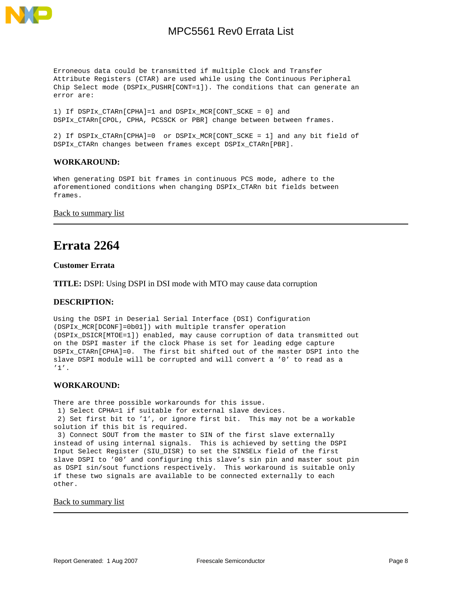

Erroneous data could be transmitted if multiple Clock and Transfer Attribute Registers (CTAR) are used while using the Continuous Peripheral Chip Select mode (DSPIx\_PUSHR[CONT=1]). The conditions that can generate an error are:

1) If DSPIx\_CTARn[CPHA]=1 and DSPIx\_MCR[CONT\_SCKE = 0] and DSPIx\_CTARn[CPOL, CPHA, PCSSCK or PBR] change between between frames.

2) If DSPIx\_CTARn[CPHA]=0 or DSPIx\_MCR[CONT\_SCKE = 1] and any bit field of DSPIx\_CTARn changes between frames except DSPIx\_CTARn[PBR].

### **WORKAROUND:**

When generating DSPI bit frames in continuous PCS mode, adhere to the aforementioned conditions when changing DSPIx\_CTARn bit fields between frames.

### [Back to summary list](#page-1-0)

## <span id="page-7-0"></span>**Errata 2264**

### **Customer Errata**

**TITLE:** DSPI: Using DSPI in DSI mode with MTO may cause data corruption

### **DESCRIPTION:**

Using the DSPI in Deserial Serial Interface (DSI) Configuration (DSPIx\_MCR[DCONF]=0b01]) with multiple transfer operation (DSPIx\_DSICR[MTOE=1]) enabled, may cause corruption of data transmitted out on the DSPI master if the clock Phase is set for leading edge capture DSPIx\_CTARn[CPHA]=0. The first bit shifted out of the master DSPI into the slave DSPI module will be corrupted and will convert a '0' to read as a '1'.

### **WORKAROUND:**

There are three possible workarounds for this issue. 1) Select CPHA=1 if suitable for external slave devices. 2) Set first bit to '1', or ignore first bit. This may not be a workable

solution if this bit is required.

 3) Connect SOUT from the master to SIN of the first slave externally instead of using internal signals. This is achieved by setting the DSPI Input Select Register (SIU\_DISR) to set the SINSELx field of the first slave DSPI to '00' and configuring this slave's sin pin and master sout pin as DSPI sin/sout functions respectively. This workaround is suitable only if these two signals are available to be connected externally to each other.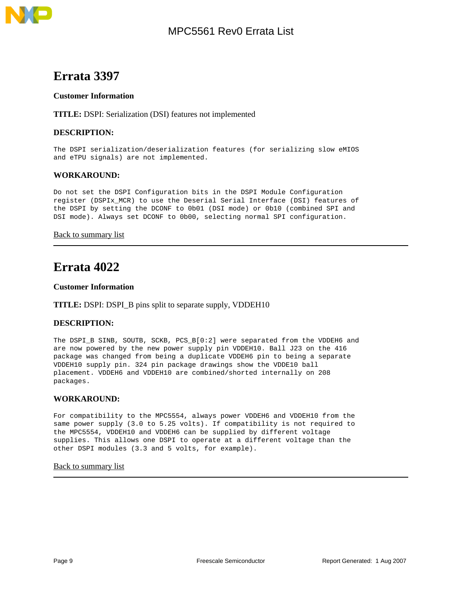

<span id="page-8-0"></span>

### **Customer Information**

**TITLE:** DSPI: Serialization (DSI) features not implemented

### **DESCRIPTION:**

The DSPI serialization/deserialization features (for serializing slow eMIOS and eTPU signals) are not implemented.

### **WORKAROUND:**

Do not set the DSPI Configuration bits in the DSPI Module Configuration register (DSPIx\_MCR) to use the Deserial Serial Interface (DSI) features of the DSPI by setting the DCONF to 0b01 (DSI mode) or 0b10 (combined SPI and DSI mode). Always set DCONF to 0b00, selecting normal SPI configuration.

### [Back to summary list](#page-1-0)

## <span id="page-8-1"></span>**Errata 4022**

#### **Customer Information**

### **TITLE:** DSPI: DSPI\_B pins split to separate supply, VDDEH10

### **DESCRIPTION:**

The DSPI\_B SINB, SOUTB, SCKB, PCS\_B[0:2] were separated from the VDDEH6 and are now powered by the new power supply pin VDDEH10. Ball J23 on the 416 package was changed from being a duplicate VDDEH6 pin to being a separate VDDEH10 supply pin. 324 pin package drawings show the VDDE10 ball placement. VDDEH6 and VDDEH10 are combined/shorted internally on 208 packages.

### **WORKAROUND:**

For compatibility to the MPC5554, always power VDDEH6 and VDDEH10 from the same power supply (3.0 to 5.25 volts). If compatibility is not required to the MPC5554, VDDEH10 and VDDEH6 can be supplied by different voltage supplies. This allows one DSPI to operate at a different voltage than the other DSPI modules (3.3 and 5 volts, for example).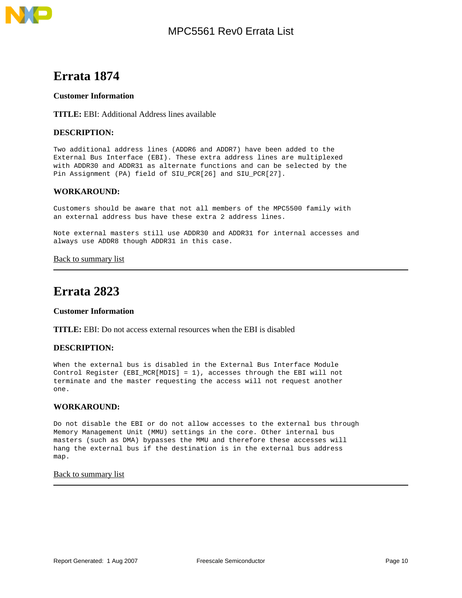

### <span id="page-9-0"></span>**Customer Information**

**TITLE:** EBI: Additional Address lines available

### **DESCRIPTION:**

Two additional address lines (ADDR6 and ADDR7) have been added to the External Bus Interface (EBI). These extra address lines are multiplexed with ADDR30 and ADDR31 as alternate functions and can be selected by the Pin Assignment (PA) field of SIU\_PCR[26] and SIU\_PCR[27].

### **WORKAROUND:**

Customers should be aware that not all members of the MPC5500 family with an external address bus have these extra 2 address lines.

Note external masters still use ADDR30 and ADDR31 for internal accesses and always use ADDR8 though ADDR31 in this case.

[Back to summary list](#page-1-0)

## <span id="page-9-1"></span>**Errata 2823**

### **Customer Information**

**TITLE:** EBI: Do not access external resources when the EBI is disabled

### **DESCRIPTION:**

When the external bus is disabled in the External Bus Interface Module Control Register (EBI\_MCR[MDIS] = 1), accesses through the EBI will not terminate and the master requesting the access will not request another one.

### **WORKAROUND:**

Do not disable the EBI or do not allow accesses to the external bus through Memory Management Unit (MMU) settings in the core. Other internal bus masters (such as DMA) bypasses the MMU and therefore these accesses will hang the external bus if the destination is in the external bus address map.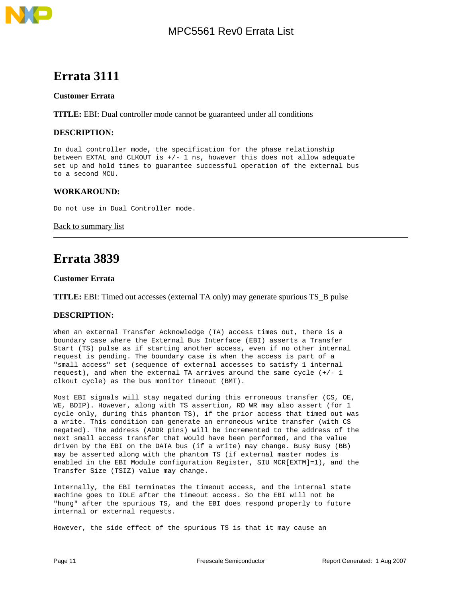

### <span id="page-10-0"></span>**Customer Errata**

**TITLE:** EBI: Dual controller mode cannot be guaranteed under all conditions

### **DESCRIPTION:**

In dual controller mode, the specification for the phase relationship between EXTAL and CLKOUT is  $+/- 1$  ns, however this does not allow adequate set up and hold times to guarantee successful operation of the external bus to a second MCU.

### **WORKAROUND:**

Do not use in Dual Controller mode.

### [Back to summary list](#page-1-0)

## <span id="page-10-1"></span>**Errata 3839**

### **Customer Errata**

**TITLE:** EBI: Timed out accesses (external TA only) may generate spurious TS\_B pulse

### **DESCRIPTION:**

When an external Transfer Acknowledge (TA) access times out, there is a boundary case where the External Bus Interface (EBI) asserts a Transfer Start (TS) pulse as if starting another access, even if no other internal request is pending. The boundary case is when the access is part of a "small access" set (sequence of external accesses to satisfy 1 internal request), and when the external TA arrives around the same cycle  $(+/- 1)$ clkout cycle) as the bus monitor timeout (BMT).

Most EBI signals will stay negated during this erroneous transfer (CS, OE, WE, BDIP). However, along with TS assertion, RD\_WR may also assert (for 1 cycle only, during this phantom TS), if the prior access that timed out was a write. This condition can generate an erroneous write transfer (with CS negated). The address (ADDR pins) will be incremented to the address of the next small access transfer that would have been performed, and the value driven by the EBI on the DATA bus (if a write) may change. Busy Busy (BB) may be asserted along with the phantom TS (if external master modes is enabled in the EBI Module configuration Register, SIU\_MCR[EXTM]=1), and the Transfer Size (TSIZ) value may change.

Internally, the EBI terminates the timeout access, and the internal state machine goes to IDLE after the timeout access. So the EBI will not be "hung" after the spurious TS, and the EBI does respond properly to future internal or external requests.

However, the side effect of the spurious TS is that it may cause an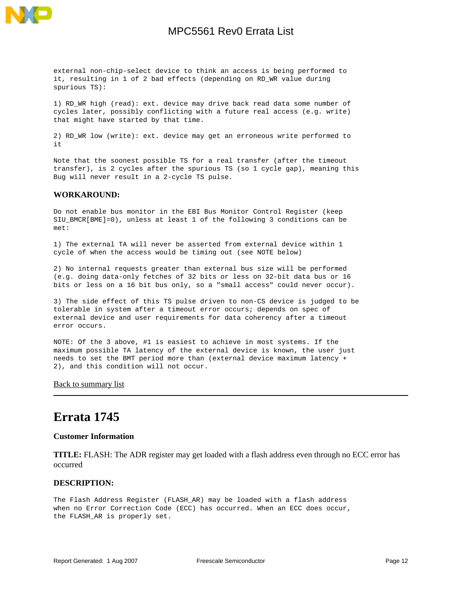

external non-chip-select device to think an access is being performed to it, resulting in 1 of 2 bad effects (depending on RD\_WR value during spurious TS):

1) RD\_WR high (read): ext. device may drive back read data some number of cycles later, possibly conflicting with a future real access (e.g. write) that might have started by that time.

2) RD\_WR low (write): ext. device may get an erroneous write performed to it

Note that the soonest possible TS for a real transfer (after the timeout transfer), is 2 cycles after the spurious TS (so 1 cycle gap), meaning this Bug will never result in a 2-cycle TS pulse.

### **WORKAROUND:**

Do not enable bus monitor in the EBI Bus Monitor Control Register (keep SIU\_BMCR[BME]=0), unless at least 1 of the following 3 conditions can be met:

1) The external TA will never be asserted from external device within 1 cycle of when the access would be timing out (see NOTE below)

2) No internal requests greater than external bus size will be performed (e.g. doing data-only fetches of 32 bits or less on 32-bit data bus or 16 bits or less on a 16 bit bus only, so a "small access" could never occur).

3) The side effect of this TS pulse driven to non-CS device is judged to be tolerable in system after a timeout error occurs; depends on spec of external device and user requirements for data coherency after a timeout error occurs.

NOTE: Of the 3 above, #1 is easiest to achieve in most systems. If the maximum possible TA latency of the external device is known, the user just needs to set the BMT period more than (external device maximum latency + 2), and this condition will not occur.

### [Back to summary list](#page-1-0)

## <span id="page-11-0"></span>**Errata 1745**

### **Customer Information**

**TITLE:** FLASH: The ADR register may get loaded with a flash address even through no ECC error has occurred

### **DESCRIPTION:**

The Flash Address Register (FLASH\_AR) may be loaded with a flash address when no Error Correction Code (ECC) has occurred. When an ECC does occur, the FLASH\_AR is properly set.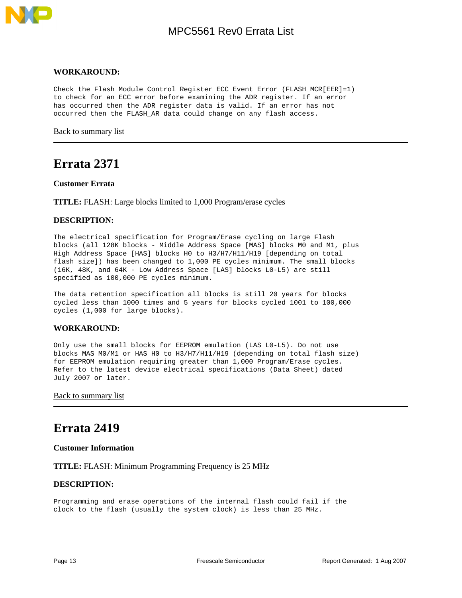

### **WORKAROUND:**

Check the Flash Module Control Register ECC Event Error (FLASH\_MCR[EER]=1) to check for an ECC error before examining the ADR register. If an error has occurred then the ADR register data is valid. If an error has not occurred then the FLASH\_AR data could change on any flash access.

[Back to summary list](#page-1-0)

### <span id="page-12-0"></span>**Errata 2371**

#### **Customer Errata**

**TITLE:** FLASH: Large blocks limited to 1,000 Program/erase cycles

### **DESCRIPTION:**

The electrical specification for Program/Erase cycling on large Flash blocks (all 128K blocks - Middle Address Space [MAS] blocks M0 and M1, plus High Address Space [HAS] blocks H0 to H3/H7/H11/H19 [depending on total flash size]) has been changed to 1,000 PE cycles minimum. The small blocks (16K, 48K, and 64K - Low Address Space [LAS] blocks L0-L5) are still specified as 100,000 PE cycles minimum.

The data retention specification all blocks is still 20 years for blocks cycled less than 1000 times and 5 years for blocks cycled 1001 to 100,000 cycles (1,000 for large blocks).

### **WORKAROUND:**

Only use the small blocks for EEPROM emulation (LAS L0-L5). Do not use blocks MAS M0/M1 or HAS H0 to H3/H7/H11/H19 (depending on total flash size) for EEPROM emulation requiring greater than 1,000 Program/Erase cycles. Refer to the latest device electrical specifications (Data Sheet) dated July 2007 or later.

**[Back to summary list](#page-1-0)** 

## <span id="page-12-1"></span>**Errata 2419**

### **Customer Information**

**TITLE:** FLASH: Minimum Programming Frequency is 25 MHz

### **DESCRIPTION:**

Programming and erase operations of the internal flash could fail if the clock to the flash (usually the system clock) is less than 25 MHz.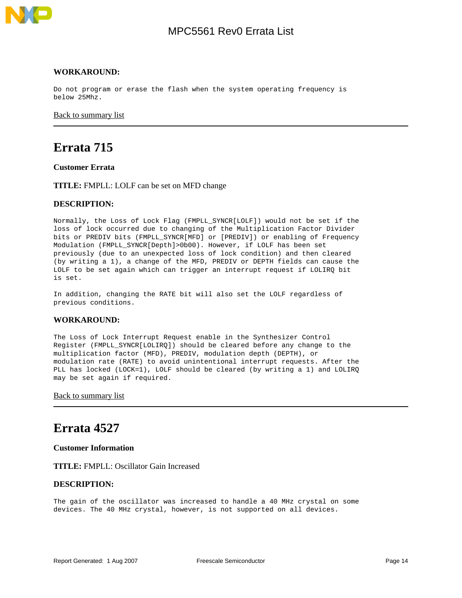

#### **WORKAROUND:**

Do not program or erase the flash when the system operating frequency is below 25Mhz.

[Back to summary list](#page-1-0)

## <span id="page-13-0"></span>**Errata 715**

**Customer Errata**

**TITLE:** FMPLL: LOLF can be set on MFD change

#### **DESCRIPTION:**

Normally, the Loss of Lock Flag (FMPLL\_SYNCR[LOLF]) would not be set if the loss of lock occurred due to changing of the Multiplication Factor Divider bits or PREDIV bits (FMPLL\_SYNCR[MFD] or [PREDIV]) or enabling of Frequency Modulation (FMPLL\_SYNCR[Depth]>0b00). However, if LOLF has been set previously (due to an unexpected loss of lock condition) and then cleared (by writing a 1), a change of the MFD, PREDIV or DEPTH fields can cause the LOLF to be set again which can trigger an interrupt request if LOLIRQ bit is set.

In addition, changing the RATE bit will also set the LOLF regardless of previous conditions.

### **WORKAROUND:**

The Loss of Lock Interrupt Request enable in the Synthesizer Control Register (FMPLL\_SYNCR[LOLIRQ]) should be cleared before any change to the multiplication factor (MFD), PREDIV, modulation depth (DEPTH), or modulation rate (RATE) to avoid unintentional interrupt requests. After the PLL has locked (LOCK=1), LOLF should be cleared (by writing a 1) and LOLIRQ may be set again if required.

[Back to summary list](#page-1-0)

### <span id="page-13-1"></span>**Errata 4527**

**Customer Information**

**TITLE:** FMPLL: Oscillator Gain Increased

### **DESCRIPTION:**

The gain of the oscillator was increased to handle a 40 MHz crystal on some devices. The 40 MHz crystal, however, is not supported on all devices.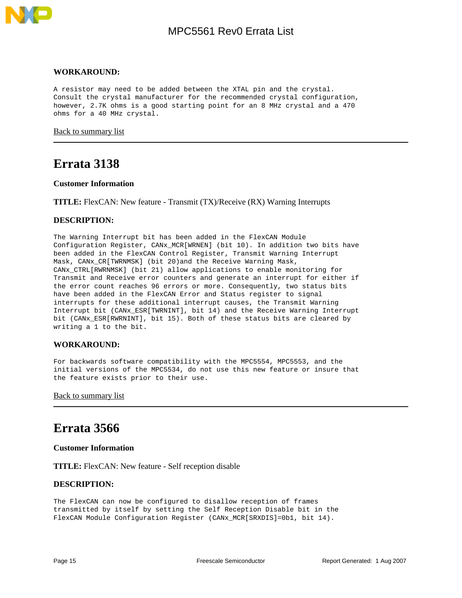

### **WORKAROUND:**

A resistor may need to be added between the XTAL pin and the crystal. Consult the crystal manufacturer for the recommended crystal configuration, however, 2.7K ohms is a good starting point for an 8 MHz crystal and a 470 ohms for a 40 MHz crystal.

[Back to summary list](#page-1-0)

### <span id="page-14-0"></span>**Errata 3138**

### **Customer Information**

**TITLE:** FlexCAN: New feature - Transmit (TX)/Receive (RX) Warning Interrupts

### **DESCRIPTION:**

The Warning Interrupt bit has been added in the FlexCAN Module Configuration Register, CANx\_MCR[WRNEN] (bit 10). In addition two bits have been added in the FlexCAN Control Register, Transmit Warning Interrupt Mask, CANx\_CR[TWRNMSK] (bit 20)and the Receive Warning Mask, CANx\_CTRL[RWRNMSK] (bit 21) allow applications to enable monitoring for Transmit and Receive error counters and generate an interrupt for either if the error count reaches 96 errors or more. Consequently, two status bits have been added in the FlexCAN Error and Status register to signal interrupts for these additional interrupt causes, the Transmit Warning Interrupt bit (CANx\_ESR[TWRNINT], bit 14) and the Receive Warning Interrupt bit (CANx\_ESR[RWRNINT], bit 15). Both of these status bits are cleared by writing a 1 to the bit.

### **WORKAROUND:**

For backwards software compatibility with the MPC5554, MPC5553, and the initial versions of the MPC5534, do not use this new feature or insure that the feature exists prior to their use.

[Back to summary list](#page-1-0)

## <span id="page-14-1"></span>**Errata 3566**

#### **Customer Information**

**TITLE:** FlexCAN: New feature - Self reception disable

### **DESCRIPTION:**

The FlexCAN can now be configured to disallow reception of frames transmitted by itself by setting the Self Reception Disable bit in the FlexCAN Module Configuration Register (CANx\_MCR[SRXDIS]=0b1, bit 14).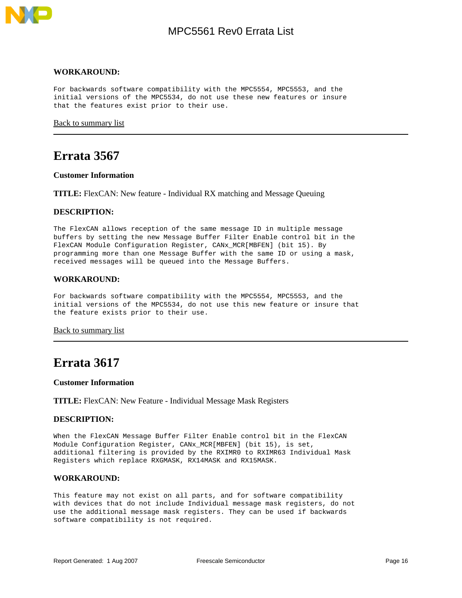

#### **WORKAROUND:**

For backwards software compatibility with the MPC5554, MPC5553, and the initial versions of the MPC5534, do not use these new features or insure that the features exist prior to their use.

[Back to summary list](#page-1-0)

### <span id="page-15-0"></span>**Errata 3567**

#### **Customer Information**

**TITLE:** FlexCAN: New feature - Individual RX matching and Message Queuing

### **DESCRIPTION:**

The FlexCAN allows reception of the same message ID in multiple message buffers by setting the new Message Buffer Filter Enable control bit in the FlexCAN Module Configuration Register, CANx\_MCR[MBFEN] (bit 15). By programming more than one Message Buffer with the same ID or using a mask, received messages will be queued into the Message Buffers.

### **WORKAROUND:**

For backwards software compatibility with the MPC5554, MPC5553, and the initial versions of the MPC5534, do not use this new feature or insure that the feature exists prior to their use.

[Back to summary list](#page-1-0)

## <span id="page-15-1"></span>**Errata 3617**

#### **Customer Information**

**TITLE:** FlexCAN: New Feature - Individual Message Mask Registers

### **DESCRIPTION:**

When the FlexCAN Message Buffer Filter Enable control bit in the FlexCAN Module Configuration Register, CANx\_MCR[MBFEN] (bit 15), is set, additional filtering is provided by the RXIMR0 to RXIMR63 Individual Mask Registers which replace RXGMASK, RX14MASK and RX15MASK.

#### **WORKAROUND:**

This feature may not exist on all parts, and for software compatibility with devices that do not include Individual message mask registers, do not use the additional message mask registers. They can be used if backwards software compatibility is not required.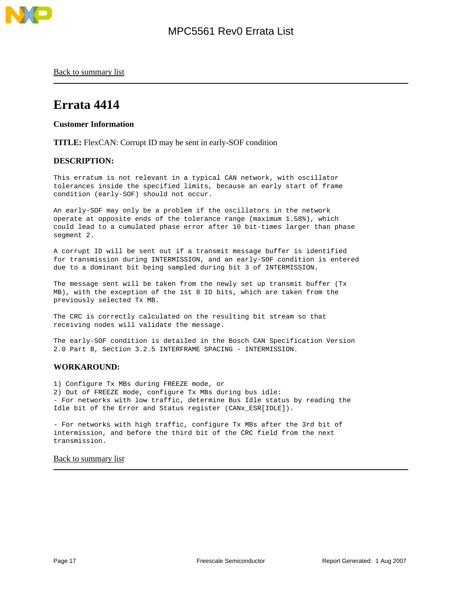

[Back to summary list](#page-1-0)

## <span id="page-16-0"></span>**Errata 4414**

**Customer Information**

**TITLE:** FlexCAN: Corrupt ID may be sent in early-SOF condition

### **DESCRIPTION:**

This erratum is not relevant in a typical CAN network, with oscillator tolerances inside the specified limits, because an early start of frame condition (early-SOF) should not occur.

An early-SOF may only be a problem if the oscillators in the network operate at opposite ends of the tolerance range (maximum 1.58%), which could lead to a cumulated phase error after 10 bit-times larger than phase segment 2.

A corrupt ID will be sent out if a transmit message buffer is identified for transmission during INTERMISSION, and an early-SOF condition is entered due to a dominant bit being sampled during bit 3 of INTERMISSION.

The message sent will be taken from the newly set up transmit buffer (Tx MB), with the exception of the 1st 8 ID bits, which are taken from the previously selected Tx MB.

The CRC is correctly calculated on the resulting bit stream so that receiving nodes will validate the message.

The early-SOF condition is detailed in the Bosch CAN Specification Version 2.0 Part B, Section 3.2.5 INTERFRAME SPACING - INTERMISSION.

### **WORKAROUND:**

1) Configure Tx MBs during FREEZE mode, or 2) Out of FREEZE mode, configure Tx MBs during bus idle: - For networks with low traffic, determine Bus Idle status by reading the Idle bit of the Error and Status register (CANx\_ESR[IDLE]).

- For networks with high traffic, configure Tx MBs after the 3rd bit of intermission, and before the third bit of the CRC field from the next transmission.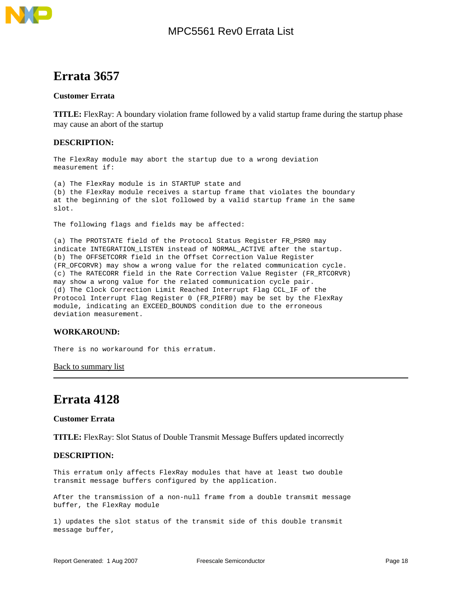

### <span id="page-17-0"></span>**Customer Errata**

**TITLE:** FlexRay: A boundary violation frame followed by a valid startup frame during the startup phase may cause an abort of the startup

### **DESCRIPTION:**

The FlexRay module may abort the startup due to a wrong deviation measurement if:

(a) The FlexRay module is in STARTUP state and (b) the FlexRay module receives a startup frame that violates the boundary at the beginning of the slot followed by a valid startup frame in the same slot.

The following flags and fields may be affected:

(a) The PROTSTATE field of the Protocol Status Register FR\_PSR0 may indicate INTEGRATION\_LISTEN instead of NORMAL\_ACTIVE after the startup. (b) The OFFSETCORR field in the Offset Correction Value Register (FR\_OFCORVR) may show a wrong value for the related communication cycle. (c) The RATECORR field in the Rate Correction Value Register (FR\_RTCORVR) may show a wrong value for the related communication cycle pair. (d) The Clock Correction Limit Reached Interrupt Flag CCL\_IF of the Protocol Interrupt Flag Register 0 (FR\_PIFR0) may be set by the FlexRay module, indicating an EXCEED\_BOUNDS condition due to the erroneous deviation measurement.

### **WORKAROUND:**

There is no workaround for this erratum.

**[Back to summary list](#page-1-0)** 

### <span id="page-17-1"></span>**Errata 4128**

### **Customer Errata**

**TITLE:** FlexRay: Slot Status of Double Transmit Message Buffers updated incorrectly

### **DESCRIPTION:**

This erratum only affects FlexRay modules that have at least two double transmit message buffers configured by the application.

After the transmission of a non-null frame from a double transmit message buffer, the FlexRay module

1) updates the slot status of the transmit side of this double transmit message buffer,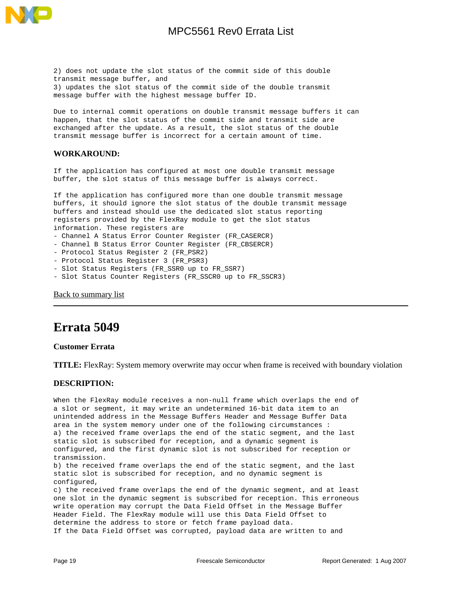

2) does not update the slot status of the commit side of this double transmit message buffer, and 3) updates the slot status of the commit side of the double transmit message buffer with the highest message buffer ID.

Due to internal commit operations on double transmit message buffers it can happen, that the slot status of the commit side and transmit side are exchanged after the update. As a result, the slot status of the double transmit message buffer is incorrect for a certain amount of time.

### **WORKAROUND:**

If the application has configured at most one double transmit message buffer, the slot status of this message buffer is always correct.

If the application has configured more than one double transmit message buffers, it should ignore the slot status of the double transmit message buffers and instead should use the dedicated slot status reporting registers provided by the FlexRay module to get the slot status information. These registers are

- Channel A Status Error Counter Register (FR\_CASERCR)
- Channel B Status Error Counter Register (FR\_CBSERCR)
- Protocol Status Register 2 (FR\_PSR2)
- Protocol Status Register 3 (FR\_PSR3)
- Slot Status Registers (FR\_SSR0 up to FR\_SSR7)
- Slot Status Counter Registers (FR\_SSCR0 up to FR\_SSCR3)

[Back to summary list](#page-1-0)

## <span id="page-18-0"></span>**Errata 5049**

### **Customer Errata**

**TITLE:** FlexRay: System memory overwrite may occur when frame is received with boundary violation

### **DESCRIPTION:**

When the FlexRay module receives a non-null frame which overlaps the end of a slot or segment, it may write an undetermined 16-bit data item to an unintended address in the Message Buffers Header and Message Buffer Data area in the system memory under one of the following circumstances : a) the received frame overlaps the end of the static segment, and the last static slot is subscribed for reception, and a dynamic segment is configured, and the first dynamic slot is not subscribed for reception or transmission. b) the received frame overlaps the end of the static segment, and the last static slot is subscribed for reception, and no dynamic segment is configured, c) the received frame overlaps the end of the dynamic segment, and at least one slot in the dynamic segment is subscribed for reception. This erroneous write operation may corrupt the Data Field Offset in the Message Buffer Header Field. The FlexRay module will use this Data Field Offset to

determine the address to store or fetch frame payload data. If the Data Field Offset was corrupted, payload data are written to and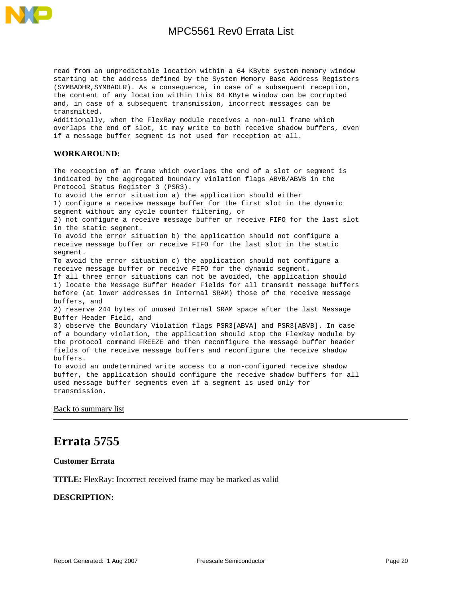

read from an unpredictable location within a 64 KByte system memory window starting at the address defined by the System Memory Base Address Registers (SYMBADHR,SYMBADLR). As a consequence, in case of a subsequent reception, the content of any location within this 64 KByte window can be corrupted and, in case of a subsequent transmission, incorrect messages can be transmitted.

Additionally, when the FlexRay module receives a non-null frame which overlaps the end of slot, it may write to both receive shadow buffers, even if a message buffer segment is not used for reception at all.

### **WORKAROUND:**

The reception of an frame which overlaps the end of a slot or segment is indicated by the aggregated boundary violation flags ABVB/ABVB in the Protocol Status Register 3 (PSR3). To avoid the error situation a) the application should either 1) configure a receive message buffer for the first slot in the dynamic segment without any cycle counter filtering, or 2) not configure a receive message buffer or receive FIFO for the last slot in the static segment. To avoid the error situation b) the application should not configure a receive message buffer or receive FIFO for the last slot in the static segment. To avoid the error situation c) the application should not configure a receive message buffer or receive FIFO for the dynamic segment. If all three error situations can not be avoided, the application should 1) locate the Message Buffer Header Fields for all transmit message buffers before (at lower addresses in Internal SRAM) those of the receive message buffers, and 2) reserve 244 bytes of unused Internal SRAM space after the last Message Buffer Header Field, and 3) observe the Boundary Violation flags PSR3[ABVA] and PSR3[ABVB]. In case of a boundary violation, the application should stop the FlexRay module by the protocol command FREEZE and then reconfigure the message buffer header fields of the receive message buffers and reconfigure the receive shadow buffers. To avoid an undetermined write access to a non-configured receive shadow buffer, the application should configure the receive shadow buffers for all used message buffer segments even if a segment is used only for

[Back to summary list](#page-1-0)

transmission.

## <span id="page-19-0"></span>**Errata 5755**

**Customer Errata**

**TITLE:** FlexRay: Incorrect received frame may be marked as valid

### **DESCRIPTION:**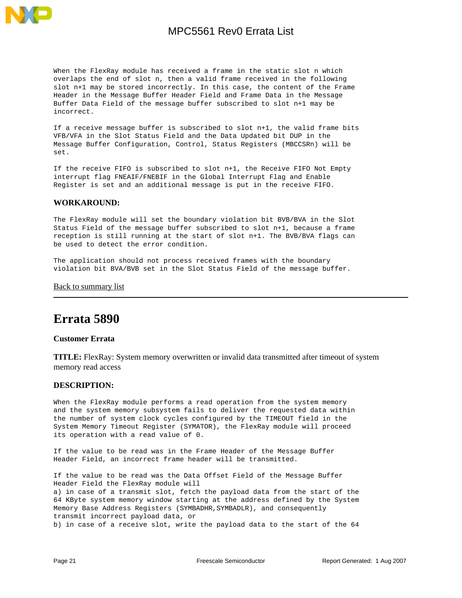

When the FlexRay module has received a frame in the static slot n which overlaps the end of slot n, then a valid frame received in the following slot n+1 may be stored incorrectly. In this case, the content of the Frame Header in the Message Buffer Header Field and Frame Data in the Message Buffer Data Field of the message buffer subscribed to slot n+1 may be incorrect.

If a receive message buffer is subscribed to slot n+1, the valid frame bits VFB/VFA in the Slot Status Field and the Data Updated bit DUP in the Message Buffer Configuration, Control, Status Registers (MBCCSRn) will be set.

If the receive FIFO is subscribed to slot n+1, the Receive FIFO Not Empty interrupt flag FNEAIF/FNEBIF in the Global Interrupt Flag and Enable Register is set and an additional message is put in the receive FIFO.

#### **WORKAROUND:**

The FlexRay module will set the boundary violation bit BVB/BVA in the Slot Status Field of the message buffer subscribed to slot n+1, because a frame reception is still running at the start of slot n+1. The BVB/BVA flags can be used to detect the error condition.

The application should not process received frames with the boundary violation bit BVA/BVB set in the Slot Status Field of the message buffer.

**[Back to summary list](#page-1-0)** 

## <span id="page-20-0"></span>**Errata 5890**

### **Customer Errata**

**TITLE:** FlexRay: System memory overwritten or invalid data transmitted after timeout of system memory read access

#### **DESCRIPTION:**

When the FlexRay module performs a read operation from the system memory and the system memory subsystem fails to deliver the requested data within the number of system clock cycles configured by the TIMEOUT field in the System Memory Timeout Register (SYMATOR), the FlexRay module will proceed its operation with a read value of 0.

If the value to be read was in the Frame Header of the Message Buffer Header Field, an incorrect frame header will be transmitted.

If the value to be read was the Data Offset Field of the Message Buffer Header Field the FlexRay module will a) in case of a transmit slot, fetch the payload data from the start of the 64 KByte system memory window starting at the address defined by the System Memory Base Address Registers (SYMBADHR, SYMBADLR), and consequently transmit incorrect payload data, or b) in case of a receive slot, write the payload data to the start of the 64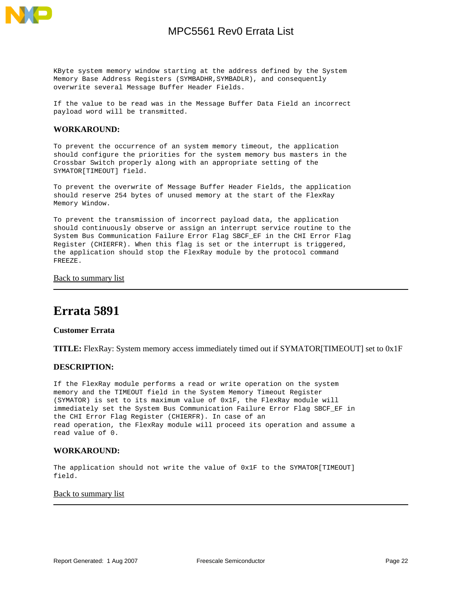

KByte system memory window starting at the address defined by the System Memory Base Address Registers (SYMBADHR,SYMBADLR), and consequently overwrite several Message Buffer Header Fields.

If the value to be read was in the Message Buffer Data Field an incorrect payload word will be transmitted.

### **WORKAROUND:**

To prevent the occurrence of an system memory timeout, the application should configure the priorities for the system memory bus masters in the Crossbar Switch properly along with an appropriate setting of the SYMATOR[TIMEOUT] field.

To prevent the overwrite of Message Buffer Header Fields, the application should reserve 254 bytes of unused memory at the start of the FlexRay Memory Window.

To prevent the transmission of incorrect payload data, the application should continuously observe or assign an interrupt service routine to the System Bus Communication Failure Error Flag SBCF\_EF in the CHI Error Flag Register (CHIERFR). When this flag is set or the interrupt is triggered, the application should stop the FlexRay module by the protocol command FREEZE.

### [Back to summary list](#page-1-0)

## <span id="page-21-0"></span>**Errata 5891**

### **Customer Errata**

**TITLE:** FlexRay: System memory access immediately timed out if SYMATOR[TIMEOUT] set to 0x1F

### **DESCRIPTION:**

If the FlexRay module performs a read or write operation on the system memory and the TIMEOUT field in the System Memory Timeout Register (SYMATOR) is set to its maximum value of 0x1F, the FlexRay module will immediately set the System Bus Communication Failure Error Flag SBCF\_EF in the CHI Error Flag Register (CHIERFR). In case of an read operation, the FlexRay module will proceed its operation and assume a read value of 0.

### **WORKAROUND:**

The application should not write the value of 0x1F to the SYMATOR[TIMEOUT] field.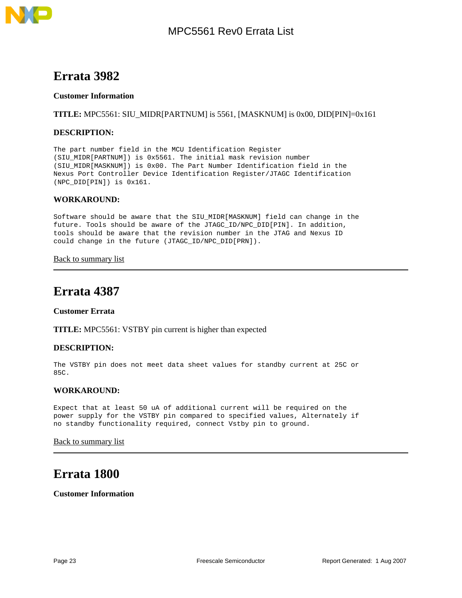<span id="page-22-0"></span>

### **Customer Information**

**TITLE:** MPC5561: SIU\_MIDR[PARTNUM] is 5561, [MASKNUM] is 0x00, DID[PIN]=0x161

### **DESCRIPTION:**

The part number field in the MCU Identification Register (SIU\_MIDR[PARTNUM]) is 0x5561. The initial mask revision number (SIU\_MIDR[MASKNUM]) is 0x00. The Part Number Identification field in the Nexus Port Controller Device Identification Register/JTAGC Identification (NPC\_DID[PIN]) is 0x161.

### **WORKAROUND:**

Software should be aware that the SIU\_MIDR[MASKNUM] field can change in the future. Tools should be aware of the JTAGC\_ID/NPC\_DID[PIN]. In addition, tools should be aware that the revision number in the JTAG and Nexus ID could change in the future (JTAGC\_ID/NPC\_DID[PRN]).

[Back to summary list](#page-1-0)

## <span id="page-22-1"></span>**Errata 4387**

### **Customer Errata**

**TITLE:** MPC5561: VSTBY pin current is higher than expected

### **DESCRIPTION:**

The VSTBY pin does not meet data sheet values for standby current at 25C or  $85C$ 

### **WORKAROUND:**

Expect that at least 50 uA of additional current will be required on the power supply for the VSTBY pin compared to specified values, Alternately if no standby functionality required, connect Vstby pin to ground.

### [Back to summary list](#page-1-0)

## <span id="page-22-2"></span>**Errata 1800**

**Customer Information**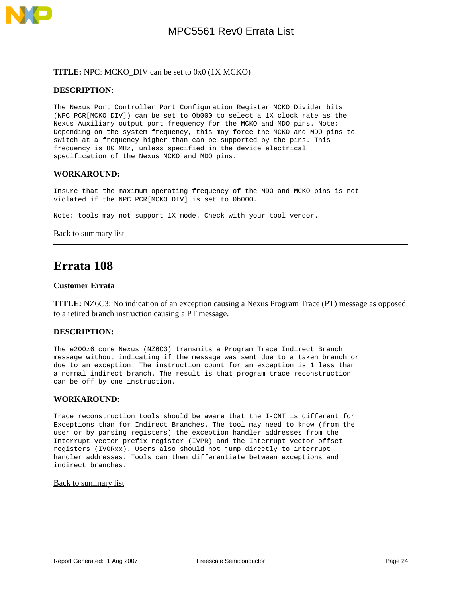

### **TITLE:** NPC: MCKO\_DIV can be set to 0x0 (1X MCKO)

### **DESCRIPTION:**

The Nexus Port Controller Port Configuration Register MCKO Divider bits (NPC\_PCR[MCKO\_DIV]) can be set to 0b000 to select a 1X clock rate as the Nexus Auxiliary output port frequency for the MCKO and MDO pins. Note: Depending on the system frequency, this may force the MCKO and MDO pins to switch at a frequency higher than can be supported by the pins. This frequency is 80 MHz, unless specified in the device electrical specification of the Nexus MCKO and MDO pins.

### **WORKAROUND:**

Insure that the maximum operating frequency of the MDO and MCKO pins is not violated if the NPC\_PCR[MCKO\_DIV] is set to 0b000.

Note: tools may not support 1X mode. Check with your tool vendor.

[Back to summary list](#page-1-0)

## <span id="page-23-0"></span>**Errata 108**

#### **Customer Errata**

**TITLE:** NZ6C3: No indication of an exception causing a Nexus Program Trace (PT) message as opposed to a retired branch instruction causing a PT message.

### **DESCRIPTION:**

The e200z6 core Nexus (NZ6C3) transmits a Program Trace Indirect Branch message without indicating if the message was sent due to a taken branch or due to an exception. The instruction count for an exception is 1 less than a normal indirect branch. The result is that program trace reconstruction can be off by one instruction.

### **WORKAROUND:**

Trace reconstruction tools should be aware that the I-CNT is different for Exceptions than for Indirect Branches. The tool may need to know (from the user or by parsing registers) the exception handler addresses from the Interrupt vector prefix register (IVPR) and the Interrupt vector offset registers (IVORxx). Users also should not jump directly to interrupt handler addresses. Tools can then differentiate between exceptions and indirect branches.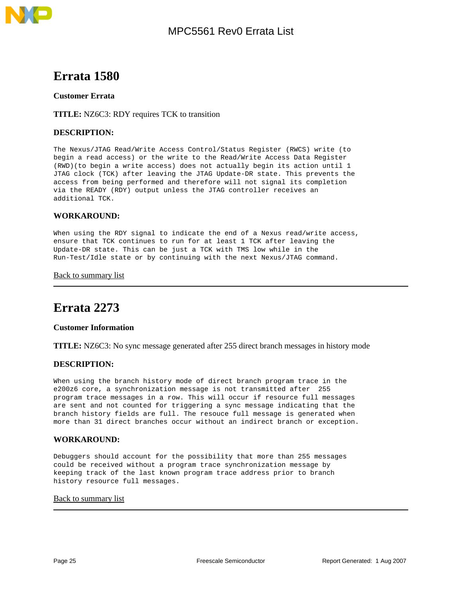

<span id="page-24-0"></span>

### **Customer Errata**

### **TITLE:** NZ6C3: RDY requires TCK to transition

### **DESCRIPTION:**

The Nexus/JTAG Read/Write Access Control/Status Register (RWCS) write (to begin a read access) or the write to the Read/Write Access Data Register (RWD)(to begin a write access) does not actually begin its action until 1 JTAG clock (TCK) after leaving the JTAG Update-DR state. This prevents the access from being performed and therefore will not signal its completion via the READY (RDY) output unless the JTAG controller receives an additional TCK.

### **WORKAROUND:**

When using the RDY signal to indicate the end of a Nexus read/write access, ensure that TCK continues to run for at least 1 TCK after leaving the Update-DR state. This can be just a TCK with TMS low while in the Run-Test/Idle state or by continuing with the next Nexus/JTAG command.

### [Back to summary list](#page-1-0)

## <span id="page-24-1"></span>**Errata 2273**

### **Customer Information**

**TITLE:** NZ6C3: No sync message generated after 255 direct branch messages in history mode

### **DESCRIPTION:**

When using the branch history mode of direct branch program trace in the e200z6 core, a synchronization message is not transmitted after 255 program trace messages in a row. This will occur if resource full messages are sent and not counted for triggering a sync message indicating that the branch history fields are full. The resouce full message is generated when more than 31 direct branches occur without an indirect branch or exception.

### **WORKAROUND:**

Debuggers should account for the possibility that more than 255 messages could be received without a program trace synchronization message by keeping track of the last known program trace address prior to branch history resource full messages.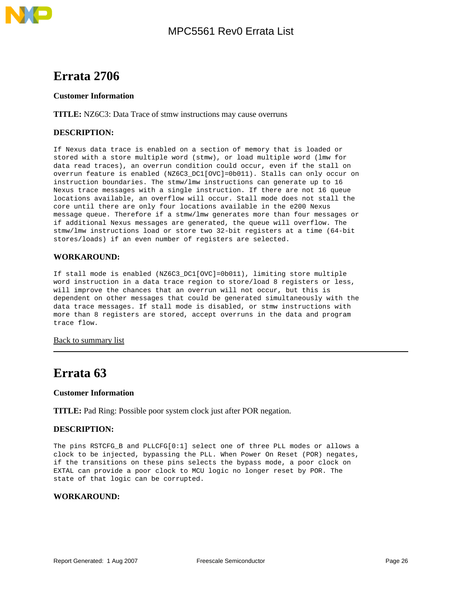

<span id="page-25-0"></span>

### **Customer Information**

**TITLE:** NZ6C3: Data Trace of stmw instructions may cause overruns

### **DESCRIPTION:**

If Nexus data trace is enabled on a section of memory that is loaded or stored with a store multiple word (stmw), or load multiple word (lmw for data read traces), an overrun condition could occur, even if the stall on overrun feature is enabled (NZ6C3\_DC1[OVC]=0b011). Stalls can only occur on instruction boundaries. The stmw/lmw instructions can generate up to 16 Nexus trace messages with a single instruction. If there are not 16 queue locations available, an overflow will occur. Stall mode does not stall the core until there are only four locations available in the e200 Nexus message queue. Therefore if a stmw/lmw generates more than four messages or if additional Nexus messages are generated, the queue will overflow. The stmw/lmw instructions load or store two 32-bit registers at a time (64-bit stores/loads) if an even number of registers are selected.

### **WORKAROUND:**

If stall mode is enabled (NZ6C3\_DC1[OVC]=0b011), limiting store multiple word instruction in a data trace region to store/load 8 registers or less, will improve the chances that an overrun will not occur, but this is dependent on other messages that could be generated simultaneously with the data trace messages. If stall mode is disabled, or stmw instructions with more than 8 registers are stored, accept overruns in the data and program trace flow.

### [Back to summary list](#page-1-0)

## <span id="page-25-1"></span>**Errata 63**

### **Customer Information**

**TITLE:** Pad Ring: Possible poor system clock just after POR negation.

### **DESCRIPTION:**

The pins RSTCFG\_B and PLLCFG[0:1] select one of three PLL modes or allows a clock to be injected, bypassing the PLL. When Power On Reset (POR) negates, if the transitions on these pins selects the bypass mode, a poor clock on EXTAL can provide a poor clock to MCU logic no longer reset by POR. The state of that logic can be corrupted.

### **WORKAROUND:**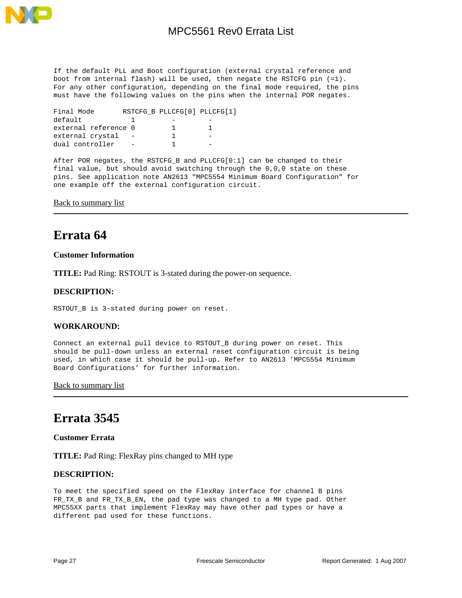

If the default PLL and Boot configuration (external crystal reference and boot from internal flash) will be used, then negate the RSTCFG pin (=1). For any other configuration, depending on the final mode required, the pins must have the following values on the pins when the internal POR negates.

| Final Mode           | RSTCFG B PLLCFG[0] PLLCFG[1] |  |
|----------------------|------------------------------|--|
| default              |                              |  |
| external reference 0 |                              |  |
| external crystal     |                              |  |
| dual controller      |                              |  |

After POR negates, the RSTCFG\_B and PLLCFG[0:1] can be changed to their final value, but should avoid switching through the 0,0,0 state on these pins. See application note AN2613 "MPC5554 Minimum Board Configuration" for one example off the external configuration circuit.

### [Back to summary list](#page-1-0)

## <span id="page-26-0"></span>**Errata 64**

### **Customer Information**

**TITLE:** Pad Ring: RSTOUT is 3-stated during the power-on sequence.

### **DESCRIPTION:**

RSTOUT\_B is 3-stated during power on reset.

### **WORKAROUND:**

Connect an external pull device to RSTOUT\_B during power on reset. This should be pull-down unless an external reset configuration circuit is being used, in which case it should be pull-up. Refer to AN2613 'MPC5554 Minimum Board Configurations' for further information.

**[Back to summary list](#page-1-0)** 

## <span id="page-26-1"></span>**Errata 3545**

### **Customer Errata**

**TITLE:** Pad Ring: FlexRay pins changed to MH type

### **DESCRIPTION:**

To meet the specified speed on the FlexRay interface for channel B pins FR\_TX\_B and FR\_TX\_B\_EN, the pad type was changed to a MH type pad. Other MPC55XX parts that implement FlexRay may have other pad types or have a different pad used for these functions.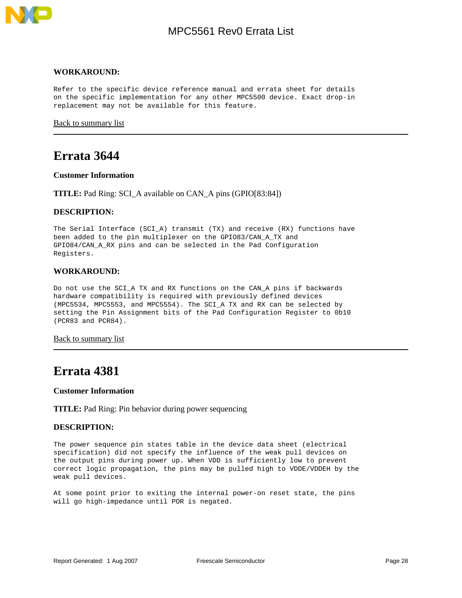

#### **WORKAROUND:**

Refer to the specific device reference manual and errata sheet for details on the specific implementation for any other MPC5500 device. Exact drop-in replacement may not be available for this feature.

[Back to summary list](#page-1-0)

### <span id="page-27-0"></span>**Errata 3644**

#### **Customer Information**

**TITLE:** Pad Ring: SCI\_A available on CAN\_A pins (GPIO[83:84])

### **DESCRIPTION:**

The Serial Interface (SCI\_A) transmit (TX) and receive (RX) functions have been added to the pin multiplexer on the GPIO83/CAN\_A\_TX and GPIO84/CAN\_A\_RX pins and can be selected in the Pad Configuration Registers.

#### **WORKAROUND:**

Do not use the SCI\_A TX and RX functions on the CAN\_A pins if backwards hardware compatibility is required with previously defined devices (MPC5534, MPC5553, and MPC5554). The SCI\_A TX and RX can be selected by setting the Pin Assignment bits of the Pad Configuration Register to 0b10 (PCR83 and PCR84).

#### **[Back to summary list](#page-1-0)**

## <span id="page-27-1"></span>**Errata 4381**

#### **Customer Information**

#### **TITLE:** Pad Ring: Pin behavior during power sequencing

#### **DESCRIPTION:**

The power sequence pin states table in the device data sheet (electrical specification) did not specify the influence of the weak pull devices on the output pins during power up. When VDD is sufficiently low to prevent correct logic propagation, the pins may be pulled high to VDDE/VDDEH by the weak pull devices.

At some point prior to exiting the internal power-on reset state, the pins will go high-impedance until POR is negated.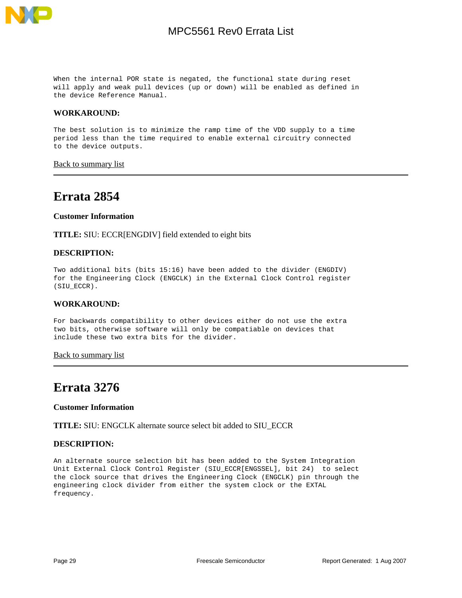

When the internal POR state is negated, the functional state during reset will apply and weak pull devices (up or down) will be enabled as defined in the device Reference Manual.

### **WORKAROUND:**

The best solution is to minimize the ramp time of the VDD supply to a time period less than the time required to enable external circuitry connected to the device outputs.

**[Back to summary list](#page-1-0)** 

## <span id="page-28-0"></span>**Errata 2854**

### **Customer Information**

**TITLE:** SIU: ECCR[ENGDIV] field extended to eight bits

### **DESCRIPTION:**

Two additional bits (bits 15:16) have been added to the divider (ENGDIV) for the Engineering Clock (ENGCLK) in the External Clock Control register (SIU\_ECCR).

### **WORKAROUND:**

For backwards compatibility to other devices either do not use the extra two bits, otherwise software will only be compatiable on devices that include these two extra bits for the divider.

#### **[Back to summary list](#page-1-0)**

## <span id="page-28-1"></span>**Errata 3276**

#### **Customer Information**

**TITLE:** SIU: ENGCLK alternate source select bit added to SIU\_ECCR

### **DESCRIPTION:**

An alternate source selection bit has been added to the System Integration Unit External Clock Control Register (SIU\_ECCR[ENGSSEL], bit 24) to select the clock source that drives the Engineering Clock (ENGCLK) pin through the engineering clock divider from either the system clock or the EXTAL frequency.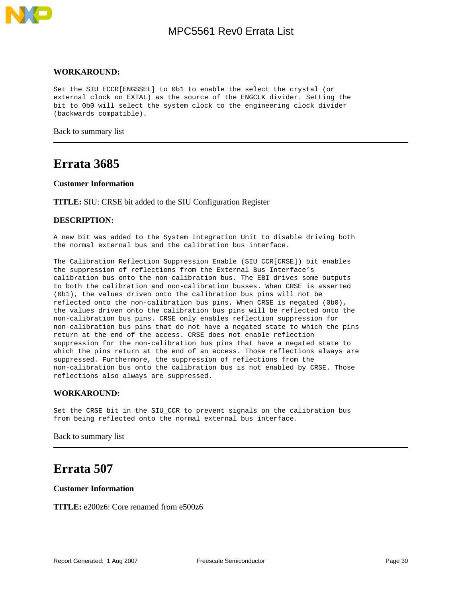

### **WORKAROUND:**

Set the SIU\_ECCR[ENGSSEL] to 0b1 to enable the select the crystal (or external clock on EXTAL) as the source of the ENGCLK divider. Setting the bit to 0b0 will select the system clock to the engineering clock divider (backwards compatible).

[Back to summary list](#page-1-0)

### <span id="page-29-0"></span>**Errata 3685**

### **Customer Information**

**TITLE:** SIU: CRSE bit added to the SIU Configuration Register

### **DESCRIPTION:**

A new bit was added to the System Integration Unit to disable driving both the normal external bus and the calibration bus interface.

The Calibration Reflection Suppression Enable (SIU\_CCR[CRSE]) bit enables the suppression of reflections from the External Bus Interface's calibration bus onto the non-calibration bus. The EBI drives some outputs to both the calibration and non-calibration busses. When CRSE is asserted (0b1), the values driven onto the calibration bus pins will not be reflected onto the non-calibration bus pins. When CRSE is negated (0b0), the values driven onto the calibration bus pins will be reflected onto the non-calibration bus pins. CRSE only enables reflection suppression for non-calibration bus pins that do not have a negated state to which the pins return at the end of the access. CRSE does not enable reflection suppression for the non-calibration bus pins that have a negated state to which the pins return at the end of an access. Those reflections always are suppressed. Furthermore, the suppression of reflections from the non-calibration bus onto the calibration bus is not enabled by CRSE. Those reflections also always are suppressed.

### **WORKAROUND:**

Set the CRSE bit in the SIU\_CCR to prevent signals on the calibration bus from being reflected onto the normal external bus interface.

#### [Back to summary list](#page-1-0)

### <span id="page-29-1"></span>**Errata 507**

### **Customer Information**

**TITLE:** e200z6: Core renamed from e500z6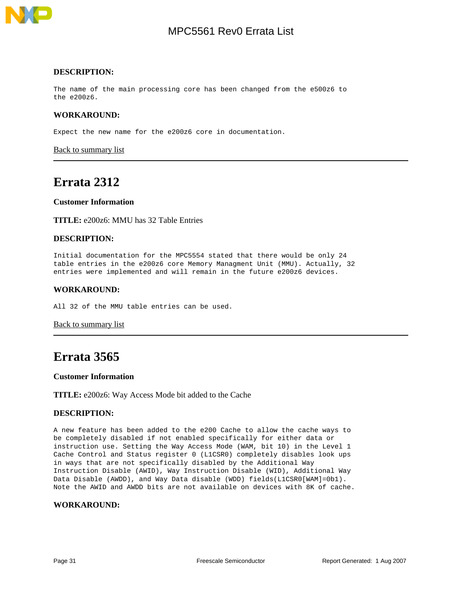

#### **DESCRIPTION:**

The name of the main processing core has been changed from the e500z6 to the e200z6.

### **WORKAROUND:**

Expect the new name for the e200z6 core in documentation.

[Back to summary list](#page-1-0)

### <span id="page-30-0"></span>**Errata 2312**

### **Customer Information**

**TITLE:** e200z6: MMU has 32 Table Entries

### **DESCRIPTION:**

Initial documentation for the MPC5554 stated that there would be only 24 table entries in the e200z6 core Memory Managment Unit (MMU). Actually, 32 entries were implemented and will remain in the future e200z6 devices.

#### **WORKAROUND:**

All 32 of the MMU table entries can be used.

#### [Back to summary list](#page-1-0)

### <span id="page-30-1"></span>**Errata 3565**

#### **Customer Information**

**TITLE:** e200z6: Way Access Mode bit added to the Cache

### **DESCRIPTION:**

A new feature has been added to the e200 Cache to allow the cache ways to be completely disabled if not enabled specifically for either data or instruction use. Setting the Way Access Mode (WAM, bit 10) in the Level 1 Cache Control and Status register 0 (L1CSR0) completely disables look ups in ways that are not specifically disabled by the Additional Way Instruction Disable (AWID), Way Instruction Disable (WID), Additional Way Data Disable (AWDD), and Way Data disable (WDD) fields(L1CSR0[WAM]=0b1). Note the AWID and AWDD bits are not available on devices with 8K of cache.

#### **WORKAROUND:**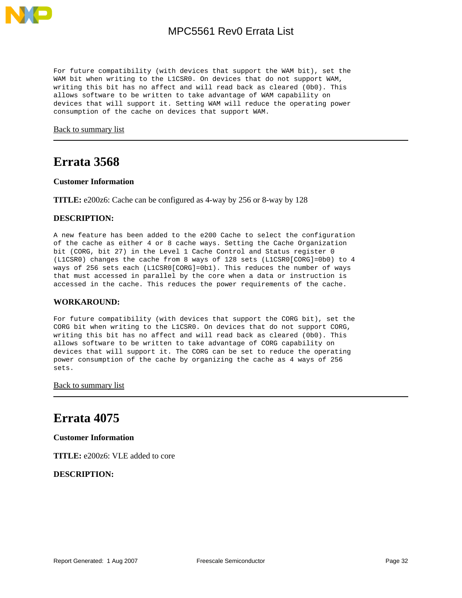

For future compatibility (with devices that support the WAM bit), set the WAM bit when writing to the L1CSR0. On devices that do not support WAM, writing this bit has no affect and will read back as cleared (0b0). This allows software to be written to take advantage of WAM capability on devices that will support it. Setting WAM will reduce the operating power consumption of the cache on devices that support WAM.

[Back to summary list](#page-1-0)

## <span id="page-31-0"></span>**Errata 3568**

### **Customer Information**

**TITLE:** e200z6: Cache can be configured as 4-way by 256 or 8-way by 128

### **DESCRIPTION:**

A new feature has been added to the e200 Cache to select the configuration of the cache as either 4 or 8 cache ways. Setting the Cache Organization bit (CORG, bit 27) in the Level 1 Cache Control and Status register 0 (L1CSR0) changes the cache from 8 ways of 128 sets (L1CSR0[CORG]=0b0) to 4 ways of 256 sets each (L1CSR0[CORG]=0b1). This reduces the number of ways that must accessed in parallel by the core when a data or instruction is accessed in the cache. This reduces the power requirements of the cache.

### **WORKAROUND:**

For future compatibility (with devices that support the CORG bit), set the CORG bit when writing to the L1CSR0. On devices that do not support CORG, writing this bit has no affect and will read back as cleared (0b0). This allows software to be written to take advantage of CORG capability on devices that will support it. The CORG can be set to reduce the operating power consumption of the cache by organizing the cache as 4 ways of 256 sets.

**[Back to summary list](#page-1-0)** 

## <span id="page-31-1"></span>**Errata 4075**

**Customer Information**

**TITLE:** e200z6: VLE added to core

**DESCRIPTION:**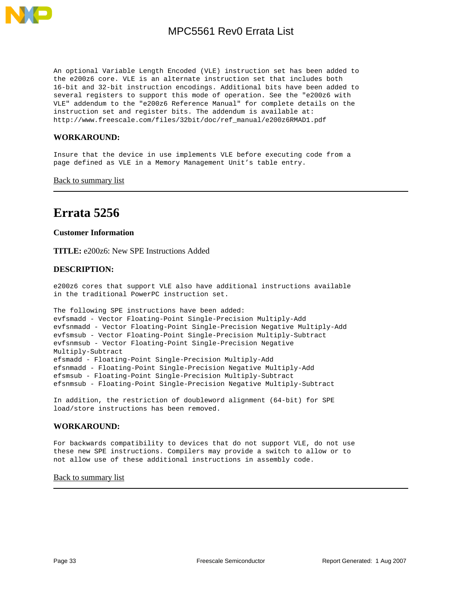

An optional Variable Length Encoded (VLE) instruction set has been added to the e200z6 core. VLE is an alternate instruction set that includes both 16-bit and 32-bit instruction encodings. Additional bits have been added to several registers to support this mode of operation. See the "e200z6 with VLE" addendum to the "e200z6 Reference Manual" for complete details on the instruction set and register bits. The addendum is available at: http://www.freescale.com/files/32bit/doc/ref\_manual/e200z6RMAD1.pdf

### **WORKAROUND:**

Insure that the device in use implements VLE before executing code from a page defined as VLE in a Memory Management Unit's table entry.

[Back to summary list](#page-1-0)

## <span id="page-32-0"></span>**Errata 5256**

#### **Customer Information**

**TITLE:** e200z6: New SPE Instructions Added

### **DESCRIPTION:**

e200z6 cores that support VLE also have additional instructions available in the traditional PowerPC instruction set.

```
The following SPE instructions have been added:
evfsmadd - Vector Floating-Point Single-Precision Multiply-Add
evfsnmadd - Vector Floating-Point Single-Precision Negative Multiply-Add
evfsmsub - Vector Floating-Point Single-Precision Multiply-Subtract
evfsnmsub - Vector Floating-Point Single-Precision Negative
Multiply-Subtract
efsmadd - Floating-Point Single-Precision Multiply-Add
efsnmadd - Floating-Point Single-Precision Negative Multiply-Add
efsmsub - Floating-Point Single-Precision Multiply-Subtract
efsnmsub - Floating-Point Single-Precision Negative Multiply-Subtract
```
In addition, the restriction of doubleword alignment (64-bit) for SPE load/store instructions has been removed.

#### **WORKAROUND:**

For backwards compatibility to devices that do not support VLE, do not use these new SPE instructions. Compilers may provide a switch to allow or to not allow use of these additional instructions in assembly code.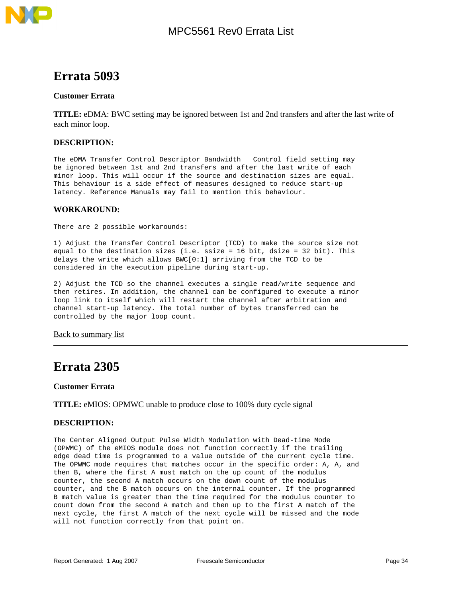<span id="page-33-0"></span>

### **Customer Errata**

**TITLE:** eDMA: BWC setting may be ignored between 1st and 2nd transfers and after the last write of each minor loop.

### **DESCRIPTION:**

The eDMA Transfer Control Descriptor Bandwidth Control field setting may be ignored between 1st and 2nd transfers and after the last write of each minor loop. This will occur if the source and destination sizes are equal. This behaviour is a side effect of measures designed to reduce start-up latency. Reference Manuals may fail to mention this behaviour.

### **WORKAROUND:**

There are 2 possible workarounds:

1) Adjust the Transfer Control Descriptor (TCD) to make the source size not equal to the destination sizes (i.e. ssize = 16 bit, dsize = 32 bit). This delays the write which allows BWC[0:1] arriving from the TCD to be considered in the execution pipeline during start-up.

2) Adjust the TCD so the channel executes a single read/write sequence and then retires. In addition, the channel can be configured to execute a minor loop link to itself which will restart the channel after arbitration and channel start-up latency. The total number of bytes transferred can be controlled by the major loop count.

[Back to summary list](#page-1-0)

## <span id="page-33-1"></span>**Errata 2305**

**Customer Errata**

**TITLE:** eMIOS: OPMWC unable to produce close to 100% duty cycle signal

### **DESCRIPTION:**

The Center Aligned Output Pulse Width Modulation with Dead-time Mode (OPWMC) of the eMIOS module does not function correctly if the trailing edge dead time is programmed to a value outside of the current cycle time. The OPWMC mode requires that matches occur in the specific order: A, A, and then B, where the first A must match on the up count of the modulus counter, the second A match occurs on the down count of the modulus counter, and the B match occurs on the internal counter. If the programmed B match value is greater than the time required for the modulus counter to count down from the second A match and then up to the first A match of the next cycle, the first A match of the next cycle will be missed and the mode will not function correctly from that point on.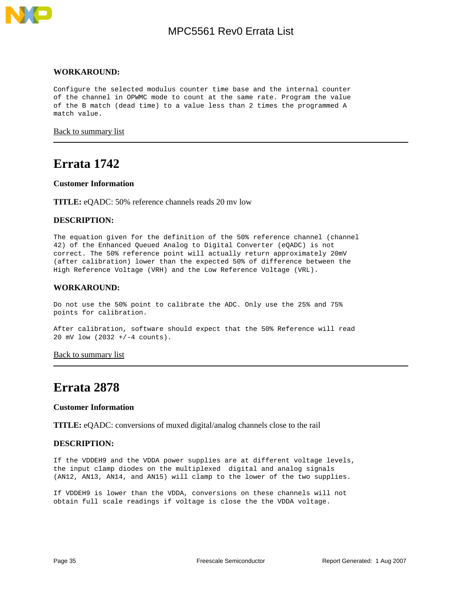

### **WORKAROUND:**

Configure the selected modulus counter time base and the internal counter of the channel in OPWMC mode to count at the same rate. Program the value of the B match (dead time) to a value less than 2 times the programmed A match value.

[Back to summary list](#page-1-0)

### <span id="page-34-0"></span>**Errata 1742**

#### **Customer Information**

**TITLE:** eQADC: 50% reference channels reads 20 mv low

### **DESCRIPTION:**

The equation given for the definition of the 50% reference channel (channel 42) of the Enhanced Queued Analog to Digital Converter (eQADC) is not correct. The 50% reference point will actually return approximately 20mV (after calibration) lower than the expected 50% of difference between the High Reference Voltage (VRH) and the Low Reference Voltage (VRL).

### **WORKAROUND:**

Do not use the 50% point to calibrate the ADC. Only use the 25% and 75% points for calibration.

After calibration, software should expect that the 50% Reference will read 20 mV low (2032 +/-4 counts).

[Back to summary list](#page-1-0)

## <span id="page-34-1"></span>**Errata 2878**

#### **Customer Information**

**TITLE:** eQADC: conversions of muxed digital/analog channels close to the rail

#### **DESCRIPTION:**

If the VDDEH9 and the VDDA power supplies are at different voltage levels, the input clamp diodes on the multiplexed digital and analog signals (AN12, AN13, AN14, and AN15) will clamp to the lower of the two supplies.

If VDDEH9 is lower than the VDDA, conversions on these channels will not obtain full scale readings if voltage is close the the VDDA voltage.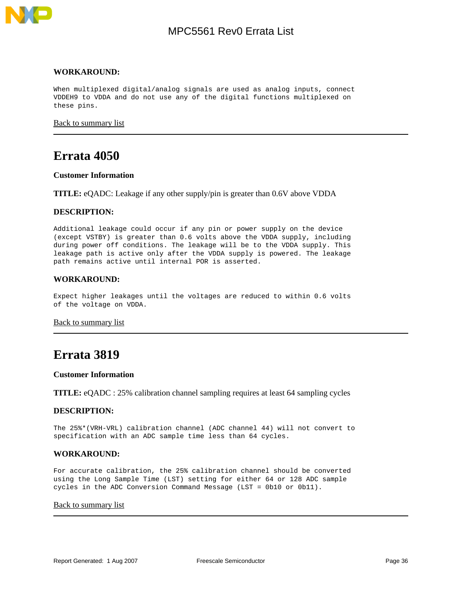

#### **WORKAROUND:**

When multiplexed digital/analog signals are used as analog inputs, connect VDDEH9 to VDDA and do not use any of the digital functions multiplexed on these pins.

[Back to summary list](#page-1-0)

## <span id="page-35-0"></span>**Errata 4050**

#### **Customer Information**

**TITLE:** eQADC: Leakage if any other supply/pin is greater than 0.6V above VDDA

### **DESCRIPTION:**

Additional leakage could occur if any pin or power supply on the device (except VSTBY) is greater than 0.6 volts above the VDDA supply, including during power off conditions. The leakage will be to the VDDA supply. This leakage path is active only after the VDDA supply is powered. The leakage path remains active until internal POR is asserted.

### **WORKAROUND:**

Expect higher leakages until the voltages are reduced to within 0.6 volts of the voltage on VDDA.

[Back to summary list](#page-1-0)

### <span id="page-35-1"></span>**Errata 3819**

#### **Customer Information**

**TITLE:** eQADC : 25% calibration channel sampling requires at least 64 sampling cycles

### **DESCRIPTION:**

The 25%\*(VRH-VRL) calibration channel (ADC channel 44) will not convert to specification with an ADC sample time less than 64 cycles.

### **WORKAROUND:**

For accurate calibration, the 25% calibration channel should be converted using the Long Sample Time (LST) setting for either 64 or 128 ADC sample cycles in the ADC Conversion Command Message (LST = 0b10 or 0b11).